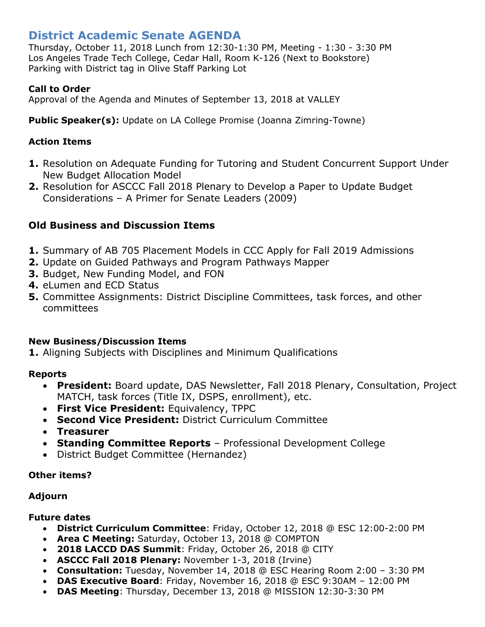# **District Academic Senate AGENDA**

Thursday, October 11, 2018 Lunch from 12:30-1:30 PM, Meeting - 1:30 - 3:30 PM Los Angeles Trade Tech College, Cedar Hall, Room K-126 (Next to Bookstore) Parking with District tag in Olive Staff Parking Lot

## **Call to Order**

Approval of the Agenda and Minutes of September 13, 2018 at VALLEY

**Public Speaker(s):** Update on LA College Promise (Joanna Zimring-Towne)

## **Action Items**

- **1.** Resolution on Adequate Funding for Tutoring and Student Concurrent Support Under New Budget Allocation Model
- **2.** Resolution for ASCCC Fall 2018 Plenary to Develop a Paper to Update Budget Considerations – A Primer for Senate Leaders (2009)

# **Old Business and Discussion Items**

- **1.** Summary of AB 705 Placement Models in CCC Apply for Fall 2019 Admissions
- **2.** Update on Guided Pathways and Program Pathways Mapper
- **3.** Budget, New Funding Model, and FON
- **4.** eLumen and ECD Status
- **5.** Committee Assignments: District Discipline Committees, task forces, and other committees

#### **New Business/Discussion Items**

**1.** Aligning Subjects with Disciplines and Minimum Qualifications

#### **Reports**

- **President:** Board update, DAS Newsletter, Fall 2018 Plenary, Consultation, Project MATCH, task forces (Title IX, DSPS, enrollment), etc.
- **First Vice President:** Equivalency, TPPC
- **Second Vice President:** District Curriculum Committee
- **Treasurer**
- **Standing Committee Reports** Professional Development College
- District Budget Committee (Hernandez)

#### **Other items?**

#### **Adjourn**

#### **Future dates**

- **District Curriculum Committee**: Friday, October 12, 2018 @ ESC 12:00-2:00 PM
- **Area C Meeting:** Saturday, October 13, 2018 @ COMPTON
- **2018 LACCD DAS Summit**: Friday, October 26, 2018 @ CITY
- **ASCCC Fall 2018 Plenary:** November 1-3, 2018 (Irvine)
- **Consultation:** Tuesday, November 14, 2018 @ ESC Hearing Room 2:00 3:30 PM
- **DAS Executive Board**: Friday, November 16, 2018 @ ESC 9:30AM 12:00 PM
- **DAS Meeting**: Thursday, December 13, 2018 @ MISSION 12:30-3:30 PM